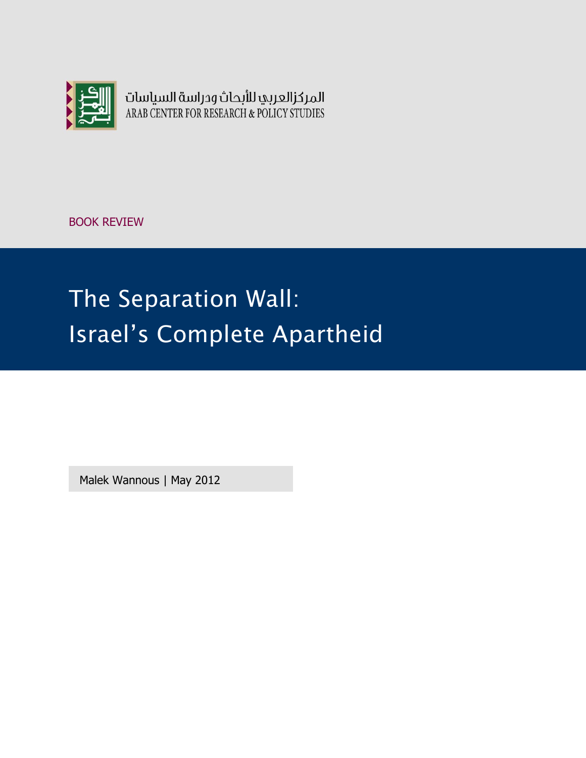

المركزالعربي للأبحاث ودراسة السياسات ARAB CENTER FOR RESEARCH & POLICY STUDIES

BOOK REVIEW

# The Separation Wall: Israel's Complete Apartheid

Malek Wannous | May 2012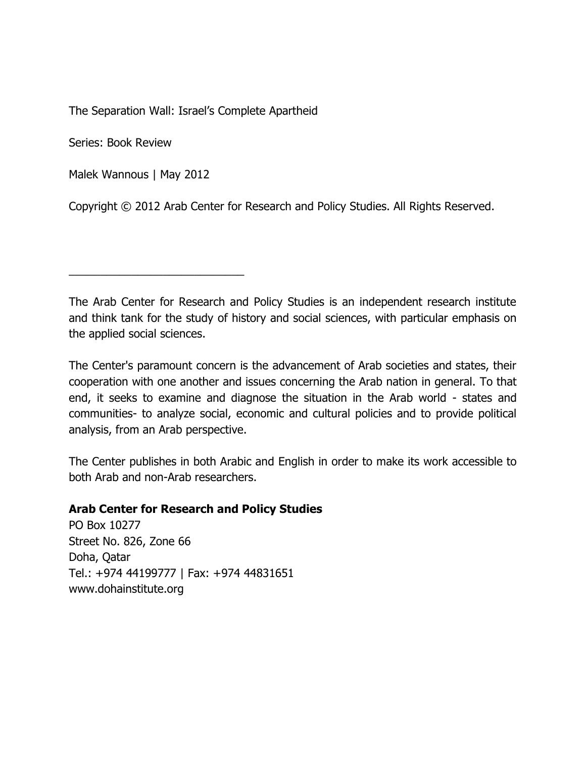The Separation Wall: Israel's Complete Apartheid

Series: Book Review

Malek Wannous | May 2012

\_\_\_\_\_\_\_\_\_\_\_\_\_\_\_\_\_\_\_\_\_\_\_\_\_\_\_\_

Copyright © 2012 Arab Center for Research and Policy Studies. All Rights Reserved.

The Arab Center for Research and Policy Studies is an independent research institute and think tank for the study of history and social sciences, with particular emphasis on the applied social sciences.

The Center's paramount concern is the advancement of Arab societies and states, their cooperation with one another and issues concerning the Arab nation in general. To that end, it seeks to examine and diagnose the situation in the Arab world - states and communities- to analyze social, economic and cultural policies and to provide political analysis, from an Arab perspective.

The Center publishes in both Arabic and English in order to make its work accessible to both Arab and non-Arab researchers.

## **Arab Center for Research and Policy Studies**

PO Box 10277 Street No. 826, Zone 66 Doha, Qatar Tel.: +974 44199777 | Fax: +974 44831651 [www.dohainstitute.org](file:///C:/Users/dena.qaddumi/Desktop/www.dohainstitute.org)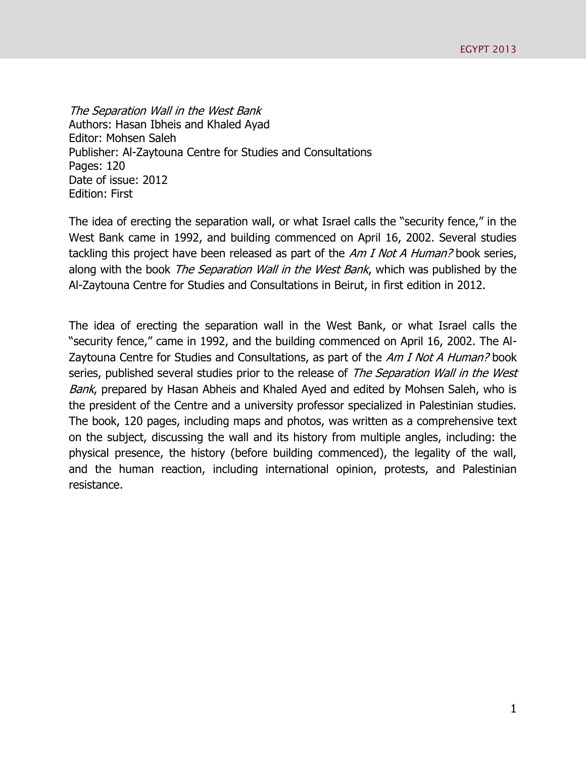The Separation Wall in the West Bank Authors: Hasan Ibheis and Khaled Ayad Editor: Mohsen Saleh Publisher: Al-Zaytouna Centre for Studies and Consultations Pages: 120 Date of issue: 2012 Edition: First

The idea of erecting the separation wall, or what Israel calls the "security fence," in the West Bank came in 1992, and building commenced on April 16, 2002. Several studies tackling this project have been released as part of the Am I Not A Human? book series, along with the book *The Separation Wall in the West Bank*, which was published by the Al-Zaytouna Centre for Studies and Consultations in Beirut, in first edition in 2012.

The idea of erecting the separation wall in the West Bank, or what Israel calls the "security fence," came in 1992, and the building commenced on April 16, 2002. The Al-Zaytouna Centre for Studies and Consultations, as part of the Am I Not A Human? book series, published several studies prior to the release of The Separation Wall in the West Bank, prepared by Hasan Abheis and Khaled Ayed and edited by Mohsen Saleh, who is the president of the Centre and a university professor specialized in Palestinian studies. The book, 120 pages, including maps and photos, was written as a comprehensive text on the subject, discussing the wall and its history from multiple angles, including: the physical presence, the history (before building commenced), the legality of the wall, and the human reaction, including international opinion, protests, and Palestinian resistance.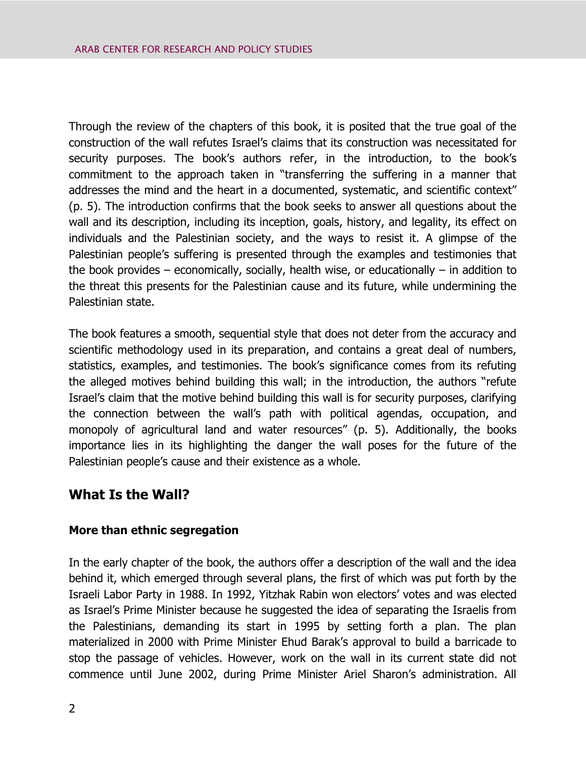Through the review of the chapters of this book, it is posited that the true goal of the construction of the wall refutes Israel's claims that its construction was necessitated for security purposes. The book's authors refer, in the introduction, to the book's commitment to the approach taken in "transferring the suffering in a manner that addresses the mind and the heart in a documented, systematic, and scientific context" (p. 5). The introduction confirms that the book seeks to answer all questions about the wall and its description, including its inception, goals, history, and legality, its effect on individuals and the Palestinian society, and the ways to resist it. A glimpse of the Palestinian people's suffering is presented through the examples and testimonies that the book provides – economically, socially, health wise, or educationally – in addition to the threat this presents for the Palestinian cause and its future, while undermining the Palestinian state.

The book features a smooth, sequential style that does not deter from the accuracy and scientific methodology used in its preparation, and contains a great deal of numbers, statistics, examples, and testimonies. The book's significance comes from its refuting the alleged motives behind building this wall; in the introduction, the authors "refute Israel's claim that the motive behind building this wall is for security purposes, clarifying the connection between the wall's path with political agendas, occupation, and monopoly of agricultural land and water resources" (p. 5). Additionally, the books importance lies in its highlighting the danger the wall poses for the future of the Palestinian people's cause and their existence as a whole.

# **What Is the Wall?**

## **More than ethnic segregation**

In the early chapter of the book, the authors offer a description of the wall and the idea behind it, which emerged through several plans, the first of which was put forth by the Israeli Labor Party in 1988. In 1992, Yitzhak Rabin won electors' votes and was elected as Israel's Prime Minister because he suggested the idea of separating the Israelis from the Palestinians, demanding its start in 1995 by setting forth a plan. The plan materialized in 2000 with Prime Minister Ehud Barak's approval to build a barricade to stop the passage of vehicles. However, work on the wall in its current state did not commence until June 2002, during Prime Minister Ariel Sharon's administration. All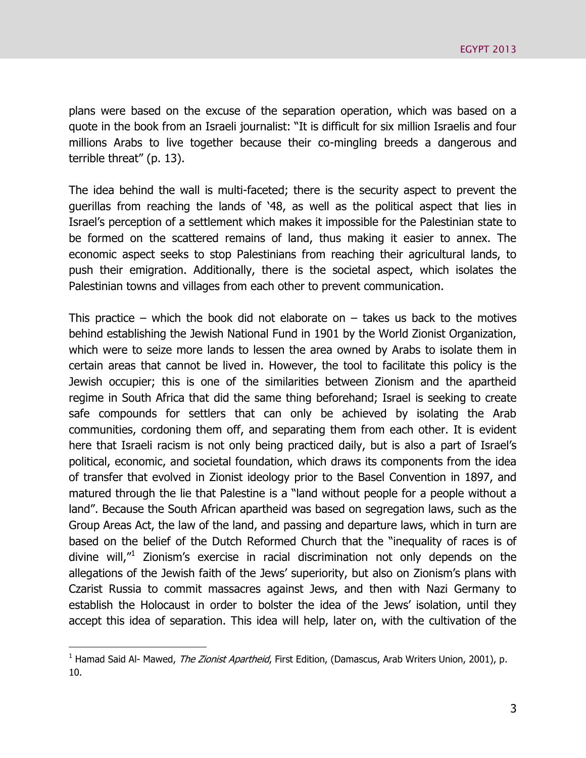plans were based on the excuse of the separation operation, which was based on a quote in the book from an Israeli journalist: "It is difficult for six million Israelis and four millions Arabs to live together because their co-mingling breeds a dangerous and terrible threat" (p. 13).

The idea behind the wall is multi-faceted; there is the security aspect to prevent the guerillas from reaching the lands of '48, as well as the political aspect that lies in Israel's perception of a settlement which makes it impossible for the Palestinian state to be formed on the scattered remains of land, thus making it easier to annex. The economic aspect seeks to stop Palestinians from reaching their agricultural lands, to push their emigration. Additionally, there is the societal aspect, which isolates the Palestinian towns and villages from each other to prevent communication.

This practice – which the book did not elaborate on – takes us back to the motives behind establishing the Jewish National Fund in 1901 by the World Zionist Organization, which were to seize more lands to lessen the area owned by Arabs to isolate them in certain areas that cannot be lived in. However, the tool to facilitate this policy is the Jewish occupier; this is one of the similarities between Zionism and the apartheid regime in South Africa that did the same thing beforehand; Israel is seeking to create safe compounds for settlers that can only be achieved by isolating the Arab communities, cordoning them off, and separating them from each other. It is evident here that Israeli racism is not only being practiced daily, but is also a part of Israel's political, economic, and societal foundation, which draws its components from the idea of transfer that evolved in Zionist ideology prior to the Basel Convention in 1897, and matured through the lie that Palestine is a "land without people for a people without a land". Because the South African apartheid was based on segregation laws, such as the Group Areas Act, the law of the land, and passing and departure laws, which in turn are based on the belief of the Dutch Reformed Church that the "inequality of races is of divine will,"<sup>1</sup> Zionism's exercise in racial discrimination not only depends on the allegations of the Jewish faith of the Jews' superiority, but also on Zionism's plans with Czarist Russia to commit massacres against Jews, and then with Nazi Germany to establish the Holocaust in order to bolster the idea of the Jews' isolation, until they accept this idea of separation. This idea will help, later on, with the cultivation of the

 $\overline{a}$ 

<sup>&</sup>lt;sup>1</sup> Hamad Said Al- Mawed, *The Zionist Apartheid*, First Edition, (Damascus, Arab Writers Union, 2001), p. 10.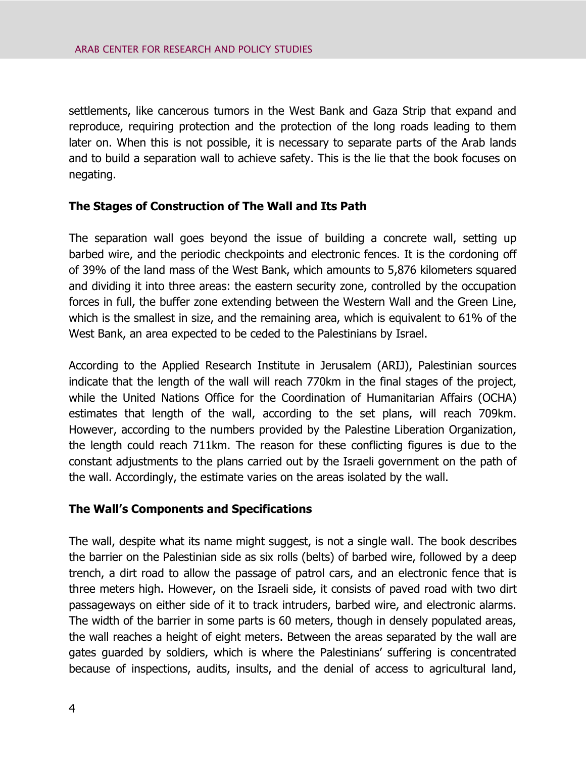settlements, like cancerous tumors in the West Bank and Gaza Strip that expand and reproduce, requiring protection and the protection of the long roads leading to them later on. When this is not possible, it is necessary to separate parts of the Arab lands and to build a separation wall to achieve safety. This is the lie that the book focuses on negating.

## **The Stages of Construction of The Wall and Its Path**

The separation wall goes beyond the issue of building a concrete wall, setting up barbed wire, and the periodic checkpoints and electronic fences. It is the cordoning off of 39% of the land mass of the West Bank, which amounts to 5,876 kilometers squared and dividing it into three areas: the eastern security zone, controlled by the occupation forces in full, the buffer zone extending between the Western Wall and the Green Line, which is the smallest in size, and the remaining area, which is equivalent to 61% of the West Bank, an area expected to be ceded to the Palestinians by Israel.

According to the Applied Research Institute in Jerusalem (ARIJ), Palestinian sources indicate that the length of the wall will reach 770km in the final stages of the project, while the United Nations Office for the Coordination of Humanitarian Affairs (OCHA) estimates that length of the wall, according to the set plans, will reach 709km. However, according to the numbers provided by the Palestine Liberation Organization, the length could reach 711km. The reason for these conflicting figures is due to the constant adjustments to the plans carried out by the Israeli government on the path of the wall. Accordingly, the estimate varies on the areas isolated by the wall.

#### **The Wall's Components and Specifications**

The wall, despite what its name might suggest, is not a single wall. The book describes the barrier on the Palestinian side as six rolls (belts) of barbed wire, followed by a deep trench, a dirt road to allow the passage of patrol cars, and an electronic fence that is three meters high. However, on the Israeli side, it consists of paved road with two dirt passageways on either side of it to track intruders, barbed wire, and electronic alarms. The width of the barrier in some parts is 60 meters, though in densely populated areas, the wall reaches a height of eight meters. Between the areas separated by the wall are gates guarded by soldiers, which is where the Palestinians' suffering is concentrated because of inspections, audits, insults, and the denial of access to agricultural land,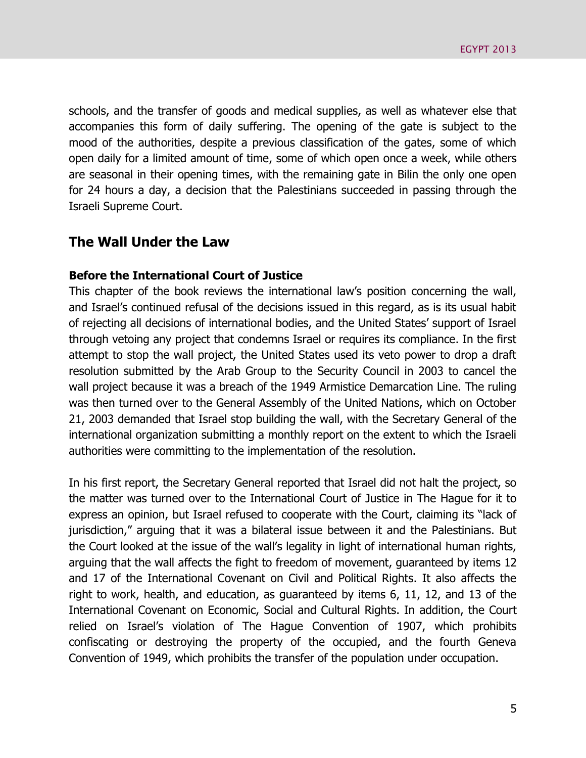schools, and the transfer of goods and medical supplies, as well as whatever else that accompanies this form of daily suffering. The opening of the gate is subject to the mood of the authorities, despite a previous classification of the gates, some of which open daily for a limited amount of time, some of which open once a week, while others are seasonal in their opening times, with the remaining gate in Bilin the only one open for 24 hours a day, a decision that the Palestinians succeeded in passing through the Israeli Supreme Court.

## **The Wall Under the Law**

#### **Before the International Court of Justice**

This chapter of the book reviews the international law's position concerning the wall, and Israel's continued refusal of the decisions issued in this regard, as is its usual habit of rejecting all decisions of international bodies, and the United States' support of Israel through vetoing any project that condemns Israel or requires its compliance. In the first attempt to stop the wall project, the United States used its veto power to drop a draft resolution submitted by the Arab Group to the Security Council in 2003 to cancel the wall project because it was a breach of the 1949 Armistice Demarcation Line. The ruling was then turned over to the General Assembly of the United Nations, which on October 21, 2003 demanded that Israel stop building the wall, with the Secretary General of the international organization submitting a monthly report on the extent to which the Israeli authorities were committing to the implementation of the resolution.

In his first report, the Secretary General reported that Israel did not halt the project, so the matter was turned over to the International Court of Justice in The Hague for it to express an opinion, but Israel refused to cooperate with the Court, claiming its "lack of jurisdiction," arguing that it was a bilateral issue between it and the Palestinians. But the Court looked at the issue of the wall's legality in light of international human rights, arguing that the wall affects the fight to freedom of movement, guaranteed by items 12 and 17 of the International Covenant on Civil and Political Rights. It also affects the right to work, health, and education, as guaranteed by items 6, 11, 12, and 13 of the International Covenant on Economic, Social and Cultural Rights. In addition, the Court relied on Israel's violation of The Hague Convention of 1907, which prohibits confiscating or destroying the property of the occupied, and the fourth Geneva Convention of 1949, which prohibits the transfer of the population under occupation.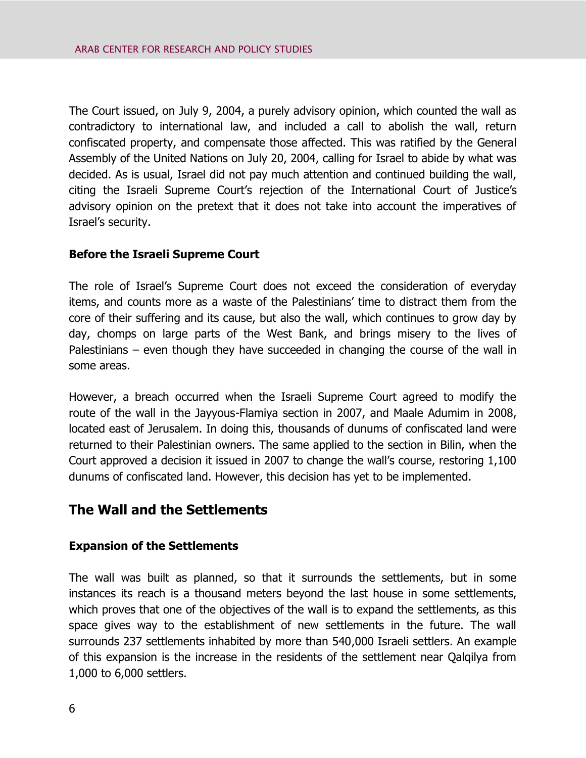The Court issued, on July 9, 2004, a purely advisory opinion, which counted the wall as contradictory to international law, and included a call to abolish the wall, return confiscated property, and compensate those affected. This was ratified by the General Assembly of the United Nations on July 20, 2004, calling for Israel to abide by what was decided. As is usual, Israel did not pay much attention and continued building the wall, citing the Israeli Supreme Court's rejection of the International Court of Justice's advisory opinion on the pretext that it does not take into account the imperatives of Israel's security.

## **Before the Israeli Supreme Court**

The role of Israel's Supreme Court does not exceed the consideration of everyday items, and counts more as a waste of the Palestinians' time to distract them from the core of their suffering and its cause, but also the wall, which continues to grow day by day, chomps on large parts of the West Bank, and brings misery to the lives of Palestinians – even though they have succeeded in changing the course of the wall in some areas.

However, a breach occurred when the Israeli Supreme Court agreed to modify the route of the wall in the Jayyous-Flamiya section in 2007, and Maale Adumim in 2008, located east of Jerusalem. In doing this, thousands of dunums of confiscated land were returned to their Palestinian owners. The same applied to the section in Bilin, when the Court approved a decision it issued in 2007 to change the wall's course, restoring 1,100 dunums of confiscated land. However, this decision has yet to be implemented.

# **The Wall and the Settlements**

#### **Expansion of the Settlements**

The wall was built as planned, so that it surrounds the settlements, but in some instances its reach is a thousand meters beyond the last house in some settlements, which proves that one of the objectives of the wall is to expand the settlements, as this space gives way to the establishment of new settlements in the future. The wall surrounds 237 settlements inhabited by more than 540,000 Israeli settlers. An example of this expansion is the increase in the residents of the settlement near Qalqilya from 1,000 to 6,000 settlers.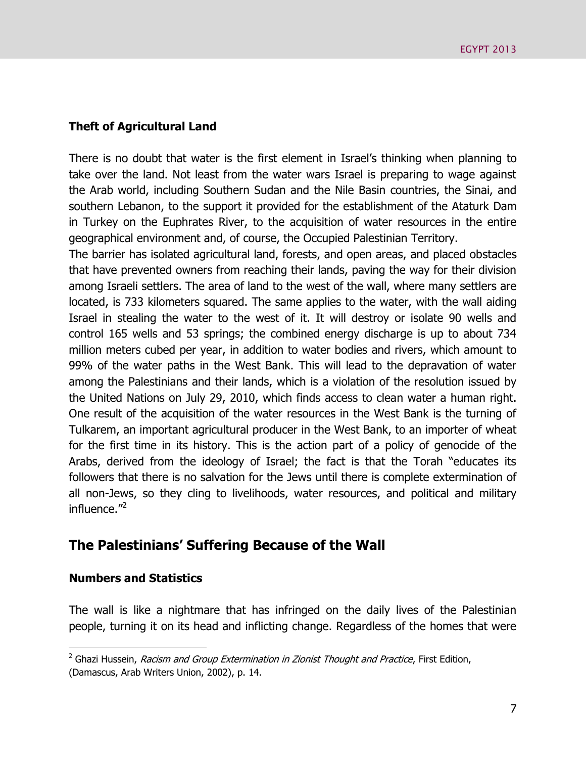#### **Theft of Agricultural Land**

There is no doubt that water is the first element in Israel's thinking when planning to take over the land. Not least from the water wars Israel is preparing to wage against the Arab world, including Southern Sudan and the Nile Basin countries, the Sinai, and southern Lebanon, to the support it provided for the establishment of the Ataturk Dam in Turkey on the Euphrates River, to the acquisition of water resources in the entire geographical environment and, of course, the Occupied Palestinian Territory.

The barrier has isolated agricultural land, forests, and open areas, and placed obstacles that have prevented owners from reaching their lands, paving the way for their division among Israeli settlers. The area of land to the west of the wall, where many settlers are located, is 733 kilometers squared. The same applies to the water, with the wall aiding Israel in stealing the water to the west of it. It will destroy or isolate 90 wells and control 165 wells and 53 springs; the combined energy discharge is up to about 734 million meters cubed per year, in addition to water bodies and rivers, which amount to 99% of the water paths in the West Bank. This will lead to the depravation of water among the Palestinians and their lands, which is a violation of the resolution issued by the United Nations on July 29, 2010, which finds access to clean water a human right. One result of the acquisition of the water resources in the West Bank is the turning of Tulkarem, an important agricultural producer in the West Bank, to an importer of wheat for the first time in its history. This is the action part of a policy of genocide of the Arabs, derived from the ideology of Israel; the fact is that the Torah "educates its followers that there is no salvation for the Jews until there is complete extermination of all non-Jews, so they cling to livelihoods, water resources, and political and military influence."<sup>2</sup>

# **The Palestinians' Suffering Because of the Wall**

#### **Numbers and Statistics**

 $\overline{a}$ 

The wall is like a nightmare that has infringed on the daily lives of the Palestinian people, turning it on its head and inflicting change. Regardless of the homes that were

 $2$  Ghazi Hussein, *Racism and Group Extermination in Zionist Thought and Practice*, First Edition, (Damascus, Arab Writers Union, 2002), p. 14.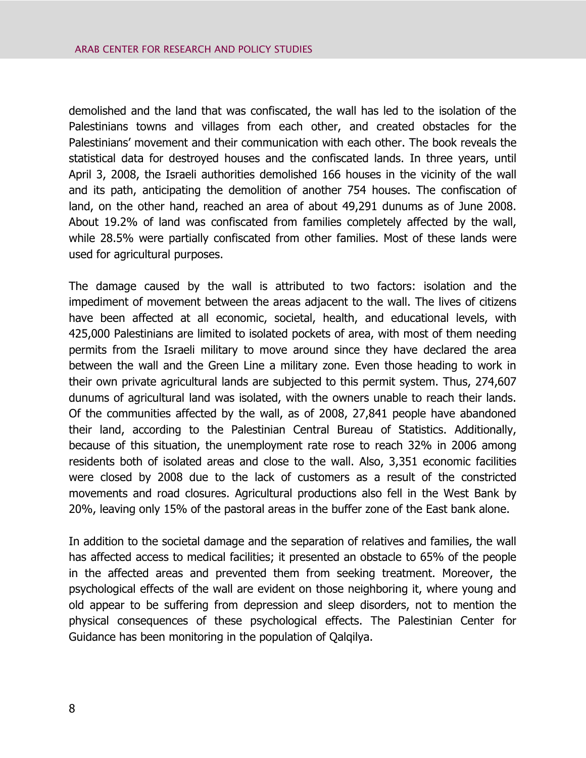demolished and the land that was confiscated, the wall has led to the isolation of the Palestinians towns and villages from each other, and created obstacles for the Palestinians' movement and their communication with each other. The book reveals the statistical data for destroyed houses and the confiscated lands. In three years, until April 3, 2008, the Israeli authorities demolished 166 houses in the vicinity of the wall and its path, anticipating the demolition of another 754 houses. The confiscation of land, on the other hand, reached an area of about 49,291 dunums as of June 2008. About 19.2% of land was confiscated from families completely affected by the wall, while 28.5% were partially confiscated from other families. Most of these lands were used for agricultural purposes.

The damage caused by the wall is attributed to two factors: isolation and the impediment of movement between the areas adjacent to the wall. The lives of citizens have been affected at all economic, societal, health, and educational levels, with 425,000 Palestinians are limited to isolated pockets of area, with most of them needing permits from the Israeli military to move around since they have declared the area between the wall and the Green Line a military zone. Even those heading to work in their own private agricultural lands are subjected to this permit system. Thus, 274,607 dunums of agricultural land was isolated, with the owners unable to reach their lands. Of the communities affected by the wall, as of 2008, 27,841 people have abandoned their land, according to the Palestinian Central Bureau of Statistics. Additionally, because of this situation, the unemployment rate rose to reach 32% in 2006 among residents both of isolated areas and close to the wall. Also, 3,351 economic facilities were closed by 2008 due to the lack of customers as a result of the constricted movements and road closures. Agricultural productions also fell in the West Bank by 20%, leaving only 15% of the pastoral areas in the buffer zone of the East bank alone.

In addition to the societal damage and the separation of relatives and families, the wall has affected access to medical facilities; it presented an obstacle to 65% of the people in the affected areas and prevented them from seeking treatment. Moreover, the psychological effects of the wall are evident on those neighboring it, where young and old appear to be suffering from depression and sleep disorders, not to mention the physical consequences of these psychological effects. The Palestinian Center for Guidance has been monitoring in the population of Qalqilya.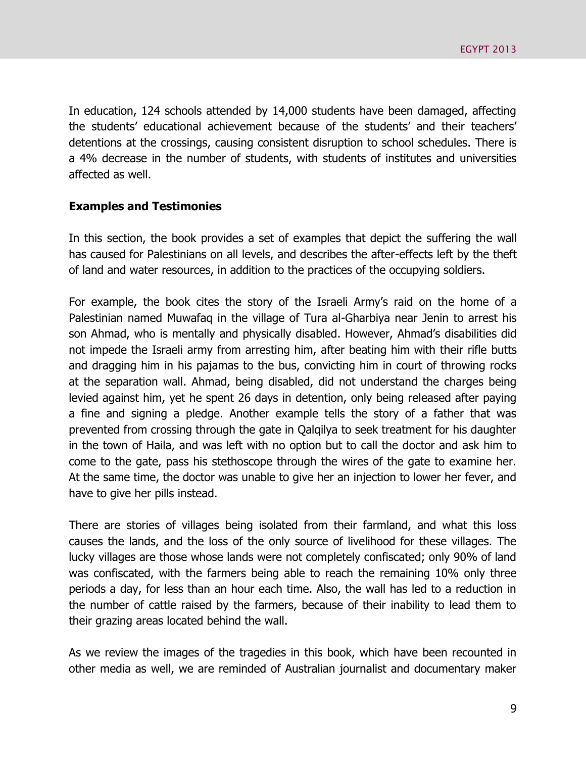In education, 124 schools attended by 14,000 students have been damaged, affecting the students' educational achievement because of the students' and their teachers' detentions at the crossings, causing consistent disruption to school schedules. There is a 4% decrease in the number of students, with students of institutes and universities affected as well.

#### **Examples and Testimonies**

In this section, the book provides a set of examples that depict the suffering the wall has caused for Palestinians on all levels, and describes the after-effects left by the theft of land and water resources, in addition to the practices of the occupying soldiers.

For example, the book cites the story of the Israeli Army's raid on the home of a Palestinian named Muwafaq in the village of Tura al-Gharbiya near Jenin to arrest his son Ahmad, who is mentally and physically disabled. However, Ahmad's disabilities did not impede the Israeli army from arresting him, after beating him with their rifle butts and dragging him in his pajamas to the bus, convicting him in court of throwing rocks at the separation wall. Ahmad, being disabled, did not understand the charges being levied against him, yet he spent 26 days in detention, only being released after paying a fine and signing a pledge. Another example tells the story of a father that was prevented from crossing through the gate in Qalqilya to seek treatment for his daughter in the town of Haila, and was left with no option but to call the doctor and ask him to come to the gate, pass his stethoscope through the wires of the gate to examine her. At the same time, the doctor was unable to give her an injection to lower her fever, and have to give her pills instead.

There are stories of villages being isolated from their farmland, and what this loss causes the lands, and the loss of the only source of livelihood for these villages. The lucky villages are those whose lands were not completely confiscated; only 90% of land was confiscated, with the farmers being able to reach the remaining 10% only three periods a day, for less than an hour each time. Also, the wall has led to a reduction in the number of cattle raised by the farmers, because of their inability to lead them to their grazing areas located behind the wall.

As we review the images of the tragedies in this book, which have been recounted in other media as well, we are reminded of Australian journalist and documentary maker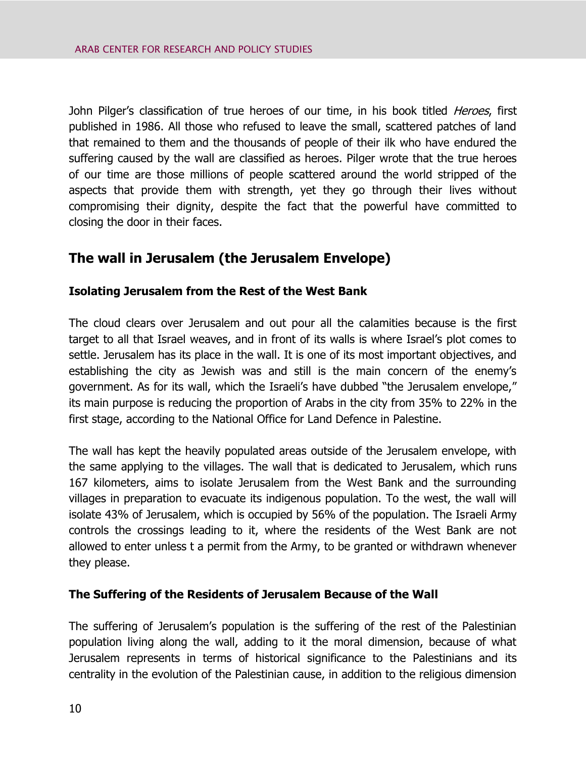John Pilger's classification of true heroes of our time, in his book titled *Heroes*, first published in 1986. All those who refused to leave the small, scattered patches of land that remained to them and the thousands of people of their ilk who have endured the suffering caused by the wall are classified as heroes. Pilger wrote that the true heroes of our time are those millions of people scattered around the world stripped of the aspects that provide them with strength, yet they go through their lives without compromising their dignity, despite the fact that the powerful have committed to closing the door in their faces.

# **The wall in Jerusalem (the Jerusalem Envelope)**

## **Isolating Jerusalem from the Rest of the West Bank**

The cloud clears over Jerusalem and out pour all the calamities because is the first target to all that Israel weaves, and in front of its walls is where Israel's plot comes to settle. Jerusalem has its place in the wall. It is one of its most important objectives, and establishing the city as Jewish was and still is the main concern of the enemy's government. As for its wall, which the Israeli's have dubbed "the Jerusalem envelope," its main purpose is reducing the proportion of Arabs in the city from 35% to 22% in the first stage, according to the National Office for Land Defence in Palestine.

The wall has kept the heavily populated areas outside of the Jerusalem envelope, with the same applying to the villages. The wall that is dedicated to Jerusalem, which runs 167 kilometers, aims to isolate Jerusalem from the West Bank and the surrounding villages in preparation to evacuate its indigenous population. To the west, the wall will isolate 43% of Jerusalem, which is occupied by 56% of the population. The Israeli Army controls the crossings leading to it, where the residents of the West Bank are not allowed to enter unless t a permit from the Army, to be granted or withdrawn whenever they please.

#### **The Suffering of the Residents of Jerusalem Because of the Wall**

The suffering of Jerusalem's population is the suffering of the rest of the Palestinian population living along the wall, adding to it the moral dimension, because of what Jerusalem represents in terms of historical significance to the Palestinians and its centrality in the evolution of the Palestinian cause, in addition to the religious dimension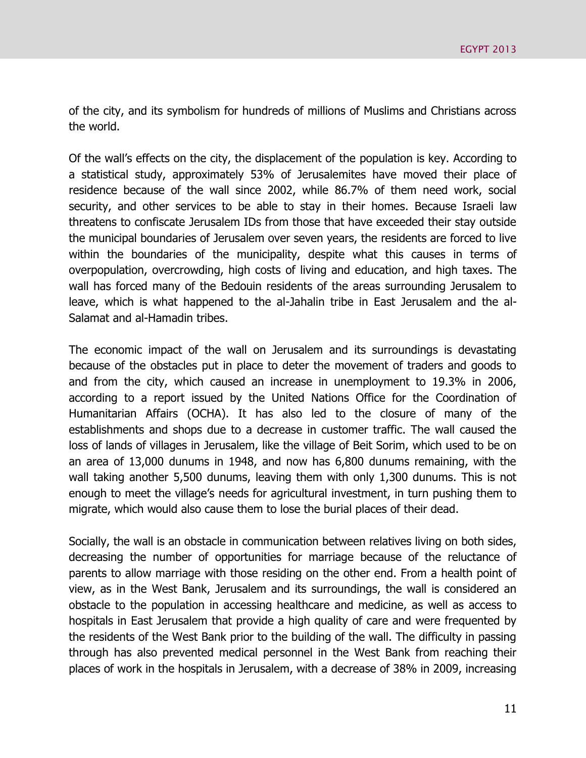of the city, and its symbolism for hundreds of millions of Muslims and Christians across the world.

Of the wall's effects on the city, the displacement of the population is key. According to a statistical study, approximately 53% of Jerusalemites have moved their place of residence because of the wall since 2002, while 86.7% of them need work, social security, and other services to be able to stay in their homes. Because Israeli law threatens to confiscate Jerusalem IDs from those that have exceeded their stay outside the municipal boundaries of Jerusalem over seven years, the residents are forced to live within the boundaries of the municipality, despite what this causes in terms of overpopulation, overcrowding, high costs of living and education, and high taxes. The wall has forced many of the Bedouin residents of the areas surrounding Jerusalem to leave, which is what happened to the al-Jahalin tribe in East Jerusalem and the al-Salamat and al-Hamadin tribes.

The economic impact of the wall on Jerusalem and its surroundings is devastating because of the obstacles put in place to deter the movement of traders and goods to and from the city, which caused an increase in unemployment to 19.3% in 2006, according to a report issued by the United Nations Office for the Coordination of Humanitarian Affairs (OCHA). It has also led to the closure of many of the establishments and shops due to a decrease in customer traffic. The wall caused the loss of lands of villages in Jerusalem, like the village of Beit Sorim, which used to be on an area of 13,000 dunums in 1948, and now has 6,800 dunums remaining, with the wall taking another 5,500 dunums, leaving them with only 1,300 dunums. This is not enough to meet the village's needs for agricultural investment, in turn pushing them to migrate, which would also cause them to lose the burial places of their dead.

Socially, the wall is an obstacle in communication between relatives living on both sides, decreasing the number of opportunities for marriage because of the reluctance of parents to allow marriage with those residing on the other end. From a health point of view, as in the West Bank, Jerusalem and its surroundings, the wall is considered an obstacle to the population in accessing healthcare and medicine, as well as access to hospitals in East Jerusalem that provide a high quality of care and were frequented by the residents of the West Bank prior to the building of the wall. The difficulty in passing through has also prevented medical personnel in the West Bank from reaching their places of work in the hospitals in Jerusalem, with a decrease of 38% in 2009, increasing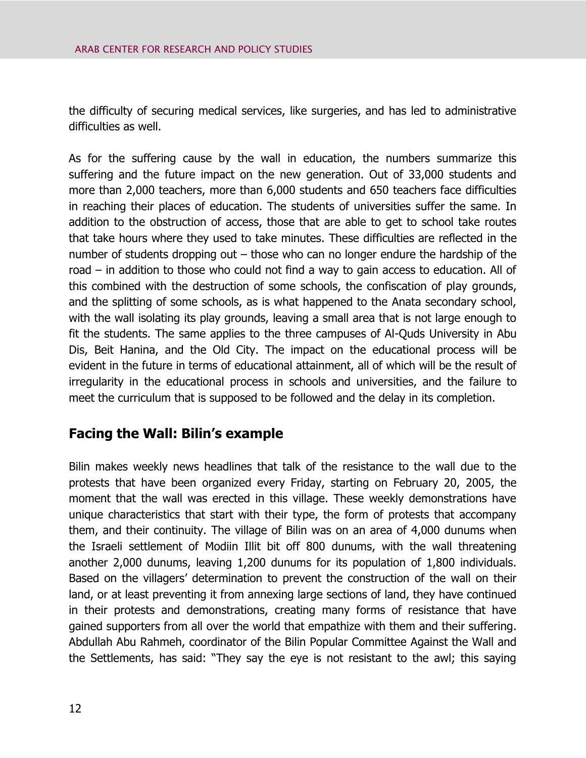the difficulty of securing medical services, like surgeries, and has led to administrative difficulties as well.

As for the suffering cause by the wall in education, the numbers summarize this suffering and the future impact on the new generation. Out of 33,000 students and more than 2,000 teachers, more than 6,000 students and 650 teachers face difficulties in reaching their places of education. The students of universities suffer the same. In addition to the obstruction of access, those that are able to get to school take routes that take hours where they used to take minutes. These difficulties are reflected in the number of students dropping out – those who can no longer endure the hardship of the road – in addition to those who could not find a way to gain access to education. All of this combined with the destruction of some schools, the confiscation of play grounds, and the splitting of some schools, as is what happened to the Anata secondary school, with the wall isolating its play grounds, leaving a small area that is not large enough to fit the students. The same applies to the three campuses of Al-Quds University in Abu Dis, Beit Hanina, and the Old City. The impact on the educational process will be evident in the future in terms of educational attainment, all of which will be the result of irregularity in the educational process in schools and universities, and the failure to meet the curriculum that is supposed to be followed and the delay in its completion.

# **Facing the Wall: Bilin's example**

Bilin makes weekly news headlines that talk of the resistance to the wall due to the protests that have been organized every Friday, starting on February 20, 2005, the moment that the wall was erected in this village. These weekly demonstrations have unique characteristics that start with their type, the form of protests that accompany them, and their continuity. The village of Bilin was on an area of 4,000 dunums when the Israeli settlement of Modiin Illit bit off 800 dunums, with the wall threatening another 2,000 dunums, leaving 1,200 dunums for its population of 1,800 individuals. Based on the villagers' determination to prevent the construction of the wall on their land, or at least preventing it from annexing large sections of land, they have continued in their protests and demonstrations, creating many forms of resistance that have gained supporters from all over the world that empathize with them and their suffering. Abdullah Abu Rahmeh, coordinator of the Bilin Popular Committee Against the Wall and the Settlements, has said: "They say the eye is not resistant to the awl; this saying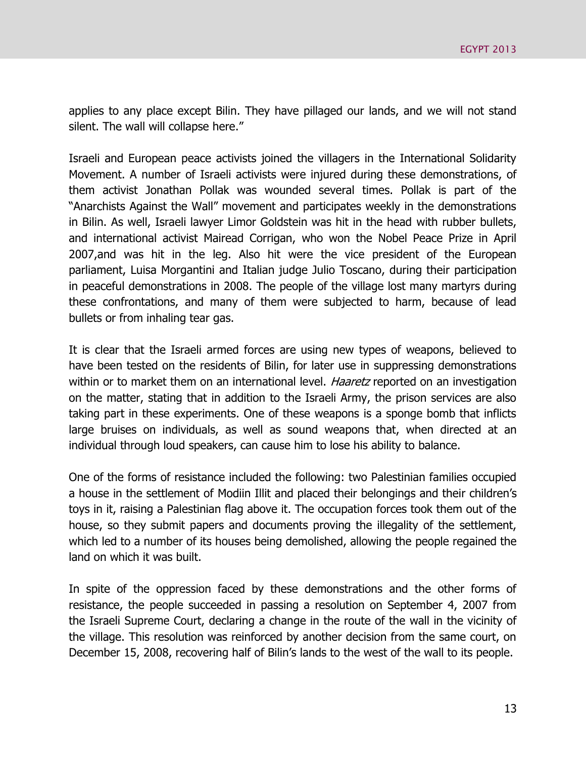applies to any place except Bilin. They have pillaged our lands, and we will not stand silent. The wall will collapse here."

Israeli and European peace activists joined the villagers in the International Solidarity Movement. A number of Israeli activists were injured during these demonstrations, of them activist Jonathan Pollak was wounded several times. Pollak is part of the "Anarchists Against the Wall" movement and participates weekly in the demonstrations in Bilin. As well, Israeli lawyer Limor Goldstein was hit in the head with rubber bullets, and international activist Mairead Corrigan, who won the Nobel Peace Prize in April 2007,and was hit in the leg. Also hit were the vice president of the European parliament, Luisa Morgantini and Italian judge Julio Toscano, during their participation in peaceful demonstrations in 2008. The people of the village lost many martyrs during these confrontations, and many of them were subjected to harm, because of lead bullets or from inhaling tear gas.

It is clear that the Israeli armed forces are using new types of weapons, believed to have been tested on the residents of Bilin, for later use in suppressing demonstrations within or to market them on an international level. *Haaretz* reported on an investigation on the matter, stating that in addition to the Israeli Army, the prison services are also taking part in these experiments. One of these weapons is a sponge bomb that inflicts large bruises on individuals, as well as sound weapons that, when directed at an individual through loud speakers, can cause him to lose his ability to balance.

One of the forms of resistance included the following: two Palestinian families occupied a house in the settlement of Modiin Illit and placed their belongings and their children's toys in it, raising a Palestinian flag above it. The occupation forces took them out of the house, so they submit papers and documents proving the illegality of the settlement, which led to a number of its houses being demolished, allowing the people regained the land on which it was built.

In spite of the oppression faced by these demonstrations and the other forms of resistance, the people succeeded in passing a resolution on September 4, 2007 from the Israeli Supreme Court, declaring a change in the route of the wall in the vicinity of the village. This resolution was reinforced by another decision from the same court, on December 15, 2008, recovering half of Bilin's lands to the west of the wall to its people.